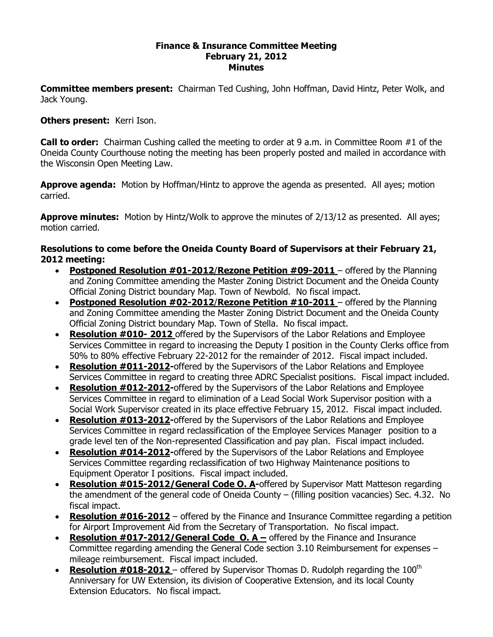## **Finance & Insurance Committee Meeting February 21, 2012 Minutes**

**Committee members present:**  Chairman Ted Cushing, John Hoffman, David Hintz, Peter Wolk, and Jack Young.

## **Others present:**  Kerri Ison.

**Call to order:**  Chairman Cushing called the meeting to order at 9 a.m. in Committee Room #1 of the Oneida County Courthouse noting the meeting has been properly posted and mailed in accordance with the Wisconsin Open Meeting Law.

**Approve agenda:** Motion by Hoffman/Hintz to approve the agenda as presented. All ayes; motion carried.

**Approve minutes:** Motion by Hintz/Wolk to approve the minutes of 2/13/12 as presented. All ayes; motion carried.

## **Resolutions to come before the Oneida County Board of Supervisors at their February 21, 2012 meeting:**

- · **Postponed Resolution #012012**/**Rezone Petition #092011** offered by the Planning and Zoning Committee amending the Master Zoning District Document and the Oneida County Official Zoning District boundary Map. Town of Newbold. No fiscal impact.
- **Postponed Resolution #02-2012/Rezone Petition #10-2011** offered by the Planning and Zoning Committee amending the Master Zoning District Document and the Oneida County Official Zoning District boundary Map. Town of Stella. No fiscal impact.
- **Resolution #010-2012** offered by the Supervisors of the Labor Relations and Employee Services Committee in regard to increasing the Deputy I position in the County Clerks office from 50% to 80% effective February 22-2012 for the remainder of 2012. Fiscal impact included.
- · **Resolution #0112012**offered by the Supervisors of the Labor Relations and Employee Services Committee in regard to creating three ADRC Specialist positions. Fiscal impact included.
- · **Resolution #0122012**offered by the Supervisors of the Labor Relations and Employee Services Committee in regard to elimination of a Lead Social Work Supervisor position with a Social Work Supervisor created in its place effective February 15, 2012. Fiscal impact included.
- · **Resolution #0132012**offered by the Supervisors of the Labor Relations and Employee Services Committee in regard reclassification of the Employee Services Manager position to a grade level ten of the Non-represented Classification and pay plan. Fiscal impact included.
- · **Resolution #0142012**offered by the Supervisors of the Labor Relations and Employee Services Committee regarding reclassification of two Highway Maintenance positions to Equipment Operator I positions. Fiscal impact included.
- · **Resolution #0152012/General Code O. A**offered by Supervisor Matt Matteson regarding the amendment of the general code of Oneida County – (filling position vacancies) Sec. 4.32. No fiscal impact.
- · **Resolution #0162012** offered by the Finance and Insurance Committee regarding a petition for Airport Improvement Aid from the Secretary of Transportation. No fiscal impact.
- · **Resolution #0172012/General Code O. A –** offered by the Finance and Insurance Committee regarding amending the General Code section 3.10 Reimbursement for expenses – mileage reimbursement. Fiscal impact included.
- **Resolution #018-2012** offered by Supervisor Thomas D. Rudolph regarding the 100<sup>th</sup> Anniversary for UW Extension, its division of Cooperative Extension, and its local County Extension Educators. No fiscal impact.